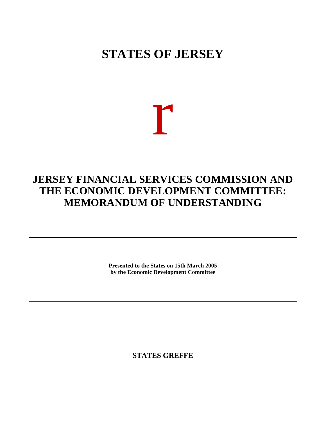## **STATES OF JERSEY**

# r

## **JERSEY FINANCIAL SERVICES COMMISSION AND THE ECONOMIC DEVELOPMENT COMMITTEE: MEMORANDUM OF UNDERSTANDING**

**Presented to the States on 15th March 2005 by the Economic Development Committee**

**STATES GREFFE**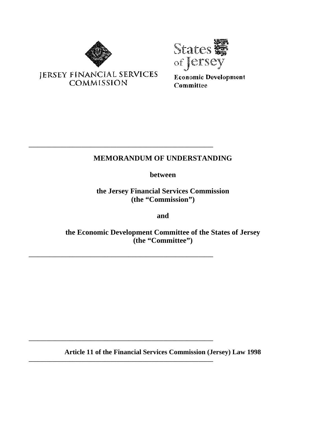



**Economic Development** Committee

### **MEMORANDUM OF UNDERSTANDING**

**between**

**the Jersey Financial Services Commission (the "Commission")**

**and**

**the Economic Development Committee of the States of Jersey (the "Committee")**

**Article 11 of the Financial Services Commission (Jersey) Law 1998**

**JERSEY FINANCIAL SERVICES COMMISSION** 

**\_\_\_\_\_\_\_\_\_\_\_\_\_\_\_\_\_\_\_\_\_\_\_\_\_\_\_\_\_\_\_\_\_\_\_\_\_\_\_\_\_\_\_\_\_\_\_\_\_\_\_\_\_\_\_\_\_\_\_\_\_\_\_**

**\_\_\_\_\_\_\_\_\_\_\_\_\_\_\_\_\_\_\_\_\_\_\_\_\_\_\_\_\_\_\_\_\_\_\_\_\_\_\_\_\_\_\_\_\_\_\_\_\_\_\_\_\_\_\_\_\_\_\_\_\_\_\_**

**\_\_\_\_\_\_\_\_\_\_\_\_\_\_\_\_\_\_\_\_\_\_\_\_\_\_\_\_\_\_\_\_\_\_\_\_\_\_\_\_\_\_\_\_\_\_\_\_\_\_\_\_\_\_\_\_\_\_\_\_\_\_\_**

**\_\_\_\_\_\_\_\_\_\_\_\_\_\_\_\_\_\_\_\_\_\_\_\_\_\_\_\_\_\_\_\_\_\_\_\_\_\_\_\_\_\_\_\_\_\_\_\_\_\_\_\_\_\_\_\_\_\_\_\_\_\_\_**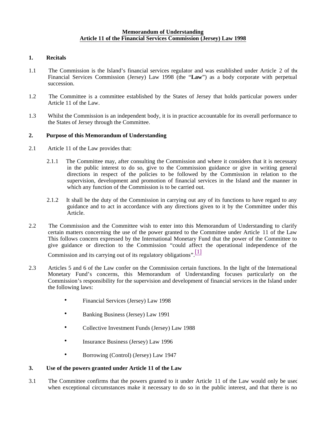#### **1. Recitals**

- 1.1 The Commission is the Island's financial services regulator and was established under Article 2 of the Financial Services Commission (Jersey) Law 1998 (the "**Law**") as a body corporate with perpetual succession.
- 1.2 The Committee is a committee established by the States of Jersey that holds particular powers under Article 11 of the Law.
- 1.3 Whilst the Commission is an independent body, it is in practice accountable for its overall performance to the States of Jersey through the Committee.

#### **2. Purpose of this Memorandum of Understanding**

- 2.1 Article 11 of the Law provides that:
	- 2.1.1 The Committee may, after consulting the Commission and where it considers that it is necessary in the public interest to do so, give to the Commission guidance or give in writing general directions in respect of the policies to be followed by the Commission in relation to the supervision, development and promotion of financial services in the Island and the manner in which any function of the Commission is to be carried out.
	- 2.1.2 It shall be the duty of the Commission in carrying out any of its functions to have regard to any guidance and to act in accordance with any directions given to it by the Committee under this Article.
- 2.2 The Commission and the Committee wish to enter into this Memorandum of Understanding to clarify certain matters concerning the use of the power granted to the Committee under Article 11 of the Law. This follows concern expressed by the International Monetary Fund that the power of the Committee to give guidance or direction to the Commission "could affect the operational independence of the

Commission and its carrying out of its regulatory obligations".  $\frac{[1]}{[1]}$ 

- 2.3 Articles 5 and 6 of the Law confer on the Commission certain functions. In the light of the International Monetary Fund's concerns, this Memorandum of Understanding focuses particularly on the Commission's responsibility for the supervision and development of financial services in the Island under the following laws:
	- Financial Services (Jersey) Law 1998
	- Banking Business (Jersey) Law 1991
	- Collective Investment Funds (Jersey) Law 1988
	- Insurance Business (Jersey) Law 1996
	- Borrowing (Control) (Jersey) Law 1947

#### **3. Use of the powers granted under Article 11 of the Law**

3.1 The Committee confirms that the powers granted to it under Article 11 of the Law would only be used when exceptional circumstances make it necessary to do so in the public interest, and that there is no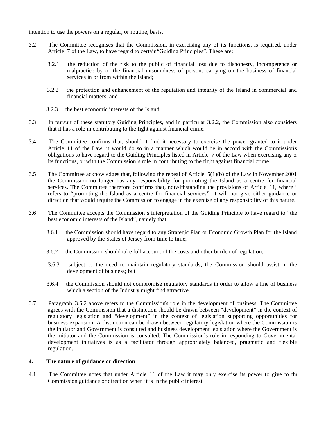intention to use the powers on a regular, or routine, basis.

- 3.2 The Committee recognises that the Commission, in exercising any of its functions, is required, under Article 7 of the Law, to have regard to certain"Guiding Principles". These are:
	- 3.2.1 the reduction of the risk to the public of financial loss due to dishonesty, incompetence or malpractice by or the financial unsoundness of persons carrying on the business of financial services in or from within the Island;
	- 3.2.2 the protection and enhancement of the reputation and integrity of the Island in commercial and financial matters; and
	- 3.2.3 the best economic interests of the Island.
- 3.3 In pursuit of these statutory Guiding Principles, and in particular 3.2.2, the Commission also considers that it has a role in contributing to the fight against financial crime.
- 3.4 The Committee confirms that, should it find it necessary to exercise the power granted to it under Article 11 of the Law, it would do so in a manner which would be in accord with the Commission's obligations to have regard to the Guiding Principles listed in Article 7 of the Law when exercising any of its functions, or with the Commission's role in contributing to the fight against financial crime.
- 3.5 The Committee acknowledges that, following the repeal of Article 5(1)(b) of the Law in November 2001, the Commission no longer has any responsibility for promoting the Island as a centre for financial services. The Committee therefore confirms that, notwithstanding the provisions of Article 11, where it refers to "promoting the Island as a centre for financial services", it will not give either guidance or direction that would require the Commission to engage in the exercise of any responsibility of this nature.
- 3.6 The Committee accepts the Commission's interpretation of the Guiding Principle to have regard to "the best economic interests of the Island", namely that:
	- 3.6.1 the Commission should have regard to any Strategic Plan or Economic Growth Plan for the Island approved by the States of Jersey from time to time;
	- 3.6.2 the Commission should take full account of the costs and other burden of regulation;
	- 3.6.3 subject to the need to maintain regulatory standards, the Commission should assist in the development of business; but
	- 3.6.4 the Commission should not compromise regulatory standards in order to allow a line of business which a section of the Industry might find attractive.
- 3.7 Paragraph 3.6.2 above refers to the Commission's role in the development of business. The Committee agrees with the Commission that a distinction should be drawn between "development" in the context of regulatory legislation and "development" in the context of legislation supporting opportunities for business expansion. A distinction can be drawn between regulatory legislation where the Commission is the initiator and Government is consulted and business development legislation where the Government is the initiator and the Commission is consulted. The Commission's role in responding to Governmental development initiatives is as a facilitator through appropriately balanced, pragmatic and flexible regulation.

#### **4. The nature of guidance or direction**

4.1 The Committee notes that under Article 11 of the Law it may only exercise its power to give to the Commission guidance or direction when it is in the public interest.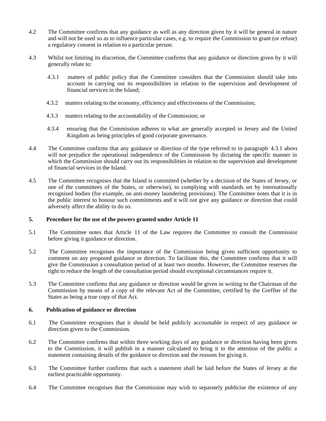- 4.2 The Committee confirms that any guidance as well as any direction given by it will be general in nature and will not be used so as to influence particular cases, e.g. to require the Commission to grant (or refuse) a regulatory consent in relation to a particular person.
- 4.3 Whilst not limiting its discretion, the Committee confirms that any guidance or direction given by it will generally relate to:
	- 4.3.1 matters of public policy that the Committee considers that the Commission should take into account in carrying out its responsibilities in relation to the supervision and development of financial services in the Island;
	- 4.3.2 matters relating to the economy, efficiency and effectiveness of the Commission;
	- 4.3.3 matters relating to the accountability of the Commission; or
	- 4.3.4 ensuring that the Commission adheres to what are generally accepted in Jersey and the United Kingdom as being principles of good corporate governance.
- 4.4 The Committee confirms that any guidance or direction of the type referred to in paragraph 4.3.1 above will not prejudice the operational independence of the Commission by dictating the specific manner in which the Commission should carry out its responsibilities in relation to the supervision and development of financial services in the Island.
- 4.5 The Committee recognises that the Island is committed (whether by a decision of the States of Jersey, or one of the committees of the States, or otherwise), to complying with standards set by internationally recognised bodies (for example, on anti-money laundering provisions). The Committee notes that it is in the public interest to honour such commitments and it will not give any guidance or direction that could adversely affect the ability to do so.

#### **5. Procedure for the use of the powers granted under Article 11**

- 5.1 The Committee notes that Article 11 of the Law requires the Committee to consult the Commission before giving it guidance or direction.
- 5.2 The Committee recognises the importance of the Commission being given sufficient opportunity to comment on any proposed guidance or direction. To facilitate this, the Committee confirms that it will give the Commission a consultation period of at least two months. However, the Committee reserves the right to reduce the length of the consultation period should exceptional circumstances require it.
- 5.3 The Committee confirms that any guidance or direction would be given in writing to the Chairman of the Commission by means of a copy of the relevant Act of the Committee, certified by the Greffier of the States as being a true copy of that Act.

#### **6. Publication of guidance or direction**

- 6.1 The Committee recognises that it should be held publicly accountable in respect of any guidance or direction given to the Commission.
- 6.2 The Committee confirms that within three working days of any guidance or direction having been given to the Commission, it will publish in a manner calculated to bring it to the attention of the public a statement containing details of the guidance or direction and the reasons for giving it.
- 6.3 The Committee further confirms that such a statement shall be laid before the States of Jersey at the earliest practicable opportunity.
- 6.4 The Committee recognises that the Commission may wish to separately publicise the existence of any